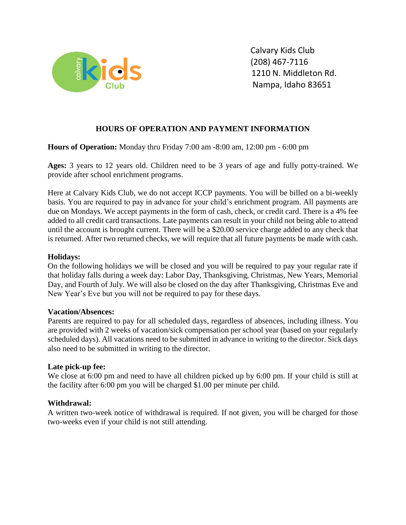

### **HOURS OF OPERATION AND PAYMENT INFORMATION**

### **Hours of Operation:** Monday thru Friday 7:00 am -8:00 am, 12:00 pm - 6:00 pm

**Ages:** 3 years to 12 years old. Children need to be 3 years of age and fully potty-trained. We provide after school enrichment programs.

Here at Calvary Kids Club, we do not accept ICCP payments. You will be billed on a bi-weekly basis. You are required to pay in advance for your child's enrichment program. All payments are due on Mondays. We accept payments in the form of cash, check, or credit card. There is a 4% fee added to all credit card transactions. Late payments can result in your child not being able to attend until the account is brought current. There will be a \$20.00 service charge added to any check that is returned. After two returned checks, we will require that all future payments be made with cash.

### **Holidays:**

On the following holidays we will be closed and you will be required to pay your regular rate if that holiday falls during a week day: Labor Day, Thanksgiving, Christmas, New Years, Memorial Day, and Fourth of July. We will also be closed on the day after Thanksgiving, Christmas Eve and New Year's Eve but you will not be required to pay for these days.

### **Vacation/Absences:**

Parents are required to pay for all scheduled days, regardless of absences, including illness. You are provided with 2 weeks of vacation/sick compensation per school year (based on your regularly scheduled days). All vacations need to be submitted in advance in writing to the director. Sick days also need to be submitted in writing to the director.

### **Late pick-up fee:**

We close at 6:00 pm and need to have all children picked up by 6:00 pm. If your child is still at the facility after 6:00 pm you will be charged \$1.00 per minute per child.

### **Withdrawal:**

A written two-week notice of withdrawal is required. If not given, you will be charged for those two-weeks even if your child is not still attending.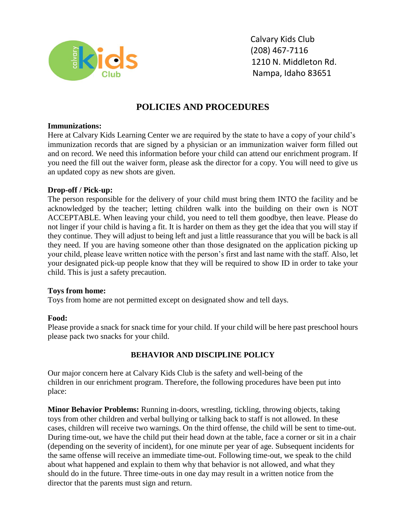

 Calvary Kids Club 1210 N. Middleton Rd. Nampa, Idaho 83651

## **POLICIES AND PROCEDURES**

### **Immunizations:**

Here at Calvary Kids Learning Center we are required by the state to have a copy of your child's immunization records that are signed by a physician or an immunization waiver form filled out and on record. We need this information before your child can attend our enrichment program. If you need the fill out the waiver form, please ask the director for a copy. You will need to give us an updated copy as new shots are given.

### **Drop-off / Pick-up:**

The person responsible for the delivery of your child must bring them INTO the facility and be acknowledged by the teacher; letting children walk into the building on their own is NOT ACCEPTABLE. When leaving your child, you need to tell them goodbye, then leave. Please do not linger if your child is having a fit. It is harder on them as they get the idea that you will stay if they continue. They will adjust to being left and just a little reassurance that you will be back is all they need. If you are having someone other than those designated on the application picking up your child, please leave written notice with the person's first and last name with the staff. Also, let your designated pick-up people know that they will be required to show ID in order to take your child. This is just a safety precaution.

### **Toys from home:**

Toys from home are not permitted except on designated show and tell days.

### **Food:**

Please provide a snack for snack time for your child. If your child will be here past preschool hours please pack two snacks for your child.

### **BEHAVIOR AND DISCIPLINE POLICY**

Our major concern here at Calvary Kids Club is the safety and well-being of the children in our enrichment program. Therefore, the following procedures have been put into place:

**Minor Behavior Problems:** Running in-doors, wrestling, tickling, throwing objects, taking toys from other children and verbal bullying or talking back to staff is not allowed. In these cases, children will receive two warnings. On the third offense, the child will be sent to time-out. During time-out, we have the child put their head down at the table, face a corner or sit in a chair (depending on the severity of incident), for one minute per year of age. Subsequent incidents for the same offense will receive an immediate time-out. Following time-out, we speak to the child about what happened and explain to them why that behavior is not allowed, and what they should do in the future. Three time-outs in one day may result in a written notice from the director that the parents must sign and return.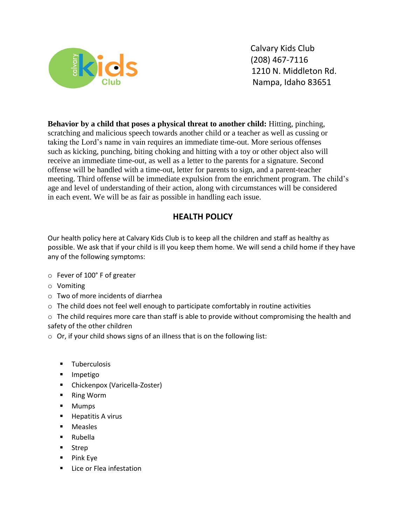

**Behavior by a child that poses a physical threat to another child:** Hitting, pinching, scratching and malicious speech towards another child or a teacher as well as cussing or taking the Lord's name in vain requires an immediate time-out. More serious offenses such as kicking, punching, biting choking and hitting with a toy or other object also will receive an immediate time-out, as well as a letter to the parents for a signature. Second offense will be handled with a time-out, letter for parents to sign, and a parent-teacher meeting. Third offense will be immediate expulsion from the enrichment program. The child's age and level of understanding of their action, along with circumstances will be considered in each event. We will be as fair as possible in handling each issue.

## **HEALTH POLICY**

Our health policy here at Calvary Kids Club is to keep all the children and staff as healthy as possible. We ask that if your child is ill you keep them home. We will send a child home if they have any of the following symptoms:

- o Fever of 100° F of greater
- o Vomiting
- o Two of more incidents of diarrhea
- o The child does not feel well enough to participate comfortably in routine activities

o The child requires more care than staff is able to provide without compromising the health and safety of the other children

- $\circ$  Or, if your child shows signs of an illness that is on the following list:
	- Tuberculosis
	- Impetigo
	- Chickenpox (Varicella-Zoster)
	- Ring Worm
	- Mumps
	- Hepatitis A virus
	- Measles
	- Rubella
	- Strep
	- Pink Eye
	- Lice or Flea infestation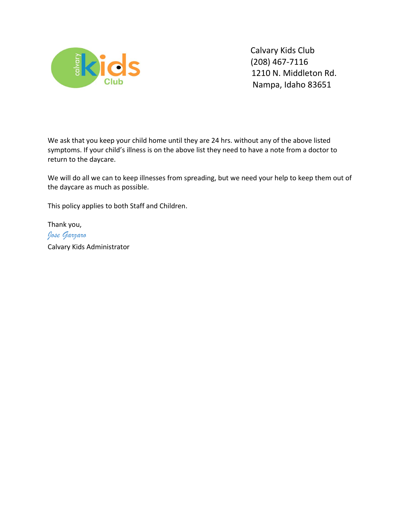

We ask that you keep your child home until they are 24 hrs. without any of the above listed symptoms. If your child's illness is on the above list they need to have a note from a doctor to return to the daycare.

We will do all we can to keep illnesses from spreading, but we need your help to keep them out of the daycare as much as possible.

This policy applies to both Staff and Children.

Thank you, *Jose Garzaro*  Calvary Kids Administrator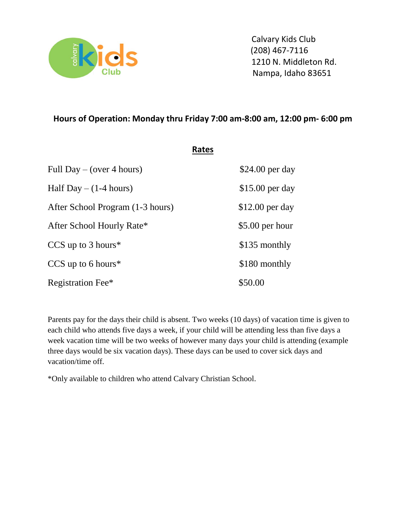

## **Hours of Operation: Monday thru Friday 7:00 am-8:00 am, 12:00 pm- 6:00 pm**

|                                  | Rates |                  |
|----------------------------------|-------|------------------|
| Full Day – (over 4 hours)        |       | $$24.00$ per day |
| Half Day $- (1-4$ hours)         |       | $$15.00$ per day |
| After School Program (1-3 hours) |       | $$12.00$ per day |
| After School Hourly Rate*        |       | \$5.00 per hour  |
| CCS up to $3$ hours <sup>*</sup> |       | \$135 monthly    |
| CCS up to 6 hours $*$            |       | \$180 monthly    |
| Registration Fee*                |       | \$50.00          |

Parents pay for the days their child is absent. Two weeks (10 days) of vacation time is given to each child who attends five days a week, if your child will be attending less than five days a week vacation time will be two weeks of however many days your child is attending (example three days would be six vacation days). These days can be used to cover sick days and vacation/time off.

\*Only available to children who attend Calvary Christian School.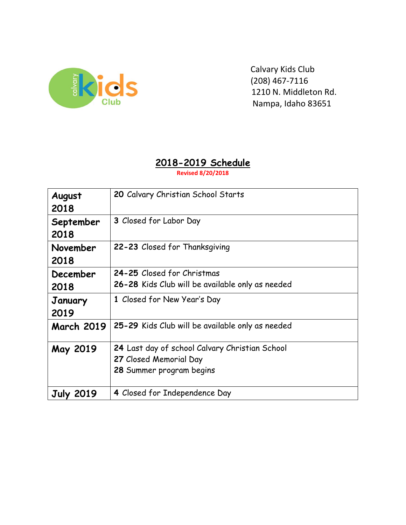

# **2018-2019 Schedule**

**Revised 8/20/2018**

| August<br>2018    | 20 Calvary Christian School Starts                                                                   |
|-------------------|------------------------------------------------------------------------------------------------------|
| September<br>2018 | 3 Closed for Labor Day                                                                               |
| November<br>2018  | 22-23 Closed for Thanksgiving                                                                        |
| December<br>2018  | 24-25 Closed for Christmas<br>26-28 Kids Club will be available only as needed                       |
| January<br>2019   | 1 Closed for New Year's Day                                                                          |
| <b>March 2019</b> | 25-29 Kids Club will be available only as needed                                                     |
| May 2019          | 24 Last day of school Calvary Christian School<br>27 Closed Memorial Day<br>28 Summer program begins |
| <b>July 2019</b>  | 4 Closed for Independence Day                                                                        |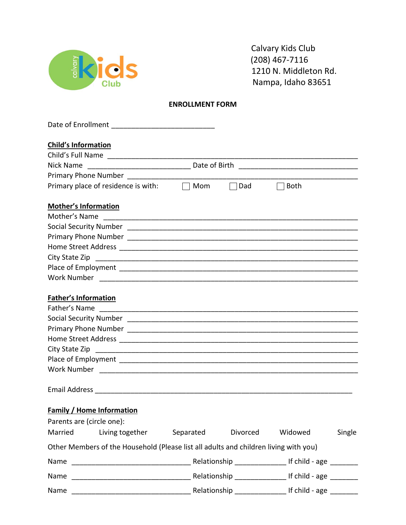

#### **ENROLLMENT FORM**

| Mom | Dad                 | <b>Both</b> |                                                                                                                                                       |
|-----|---------------------|-------------|-------------------------------------------------------------------------------------------------------------------------------------------------------|
|     |                     |             |                                                                                                                                                       |
|     |                     |             |                                                                                                                                                       |
|     |                     |             |                                                                                                                                                       |
|     |                     |             |                                                                                                                                                       |
|     |                     |             |                                                                                                                                                       |
|     |                     |             |                                                                                                                                                       |
|     |                     |             |                                                                                                                                                       |
|     |                     |             |                                                                                                                                                       |
|     |                     |             |                                                                                                                                                       |
|     |                     |             |                                                                                                                                                       |
|     |                     |             |                                                                                                                                                       |
|     |                     |             |                                                                                                                                                       |
|     |                     |             |                                                                                                                                                       |
|     |                     |             |                                                                                                                                                       |
|     |                     |             |                                                                                                                                                       |
|     |                     |             |                                                                                                                                                       |
|     |                     |             |                                                                                                                                                       |
|     |                     |             |                                                                                                                                                       |
|     |                     |             |                                                                                                                                                       |
|     |                     |             |                                                                                                                                                       |
|     | Divorced            | Widowed     | Single                                                                                                                                                |
|     |                     |             |                                                                                                                                                       |
|     |                     |             |                                                                                                                                                       |
|     |                     |             |                                                                                                                                                       |
|     |                     |             |                                                                                                                                                       |
|     | $\Box$<br>Separated |             | Other Members of the Household (Please list all adults and children living with you)<br>Relationship _______________________ If child - age _________ |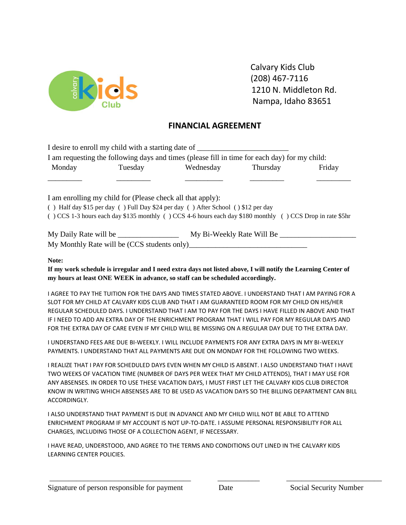

 Calvary Kids Club 1210 N. Middleton Rd. Nampa, Idaho 83651

## **FINANCIAL AGREEMENT**

|              |                                                            | I desire to enroll my child with a starting date of ____________________________<br>I am requesting the following days and times (please fill in time for each day) for my child:                                                                                                                                                                                                                                                                                                                                 |        |
|--------------|------------------------------------------------------------|-------------------------------------------------------------------------------------------------------------------------------------------------------------------------------------------------------------------------------------------------------------------------------------------------------------------------------------------------------------------------------------------------------------------------------------------------------------------------------------------------------------------|--------|
| Monday       |                                                            | Tuesday Wednesday Thursday                                                                                                                                                                                                                                                                                                                                                                                                                                                                                        | Friday |
|              | I am enrolling my child for (Please check all that apply): | () Half day \$15 per day () Full Day \$24 per day () After School () \$12 per day                                                                                                                                                                                                                                                                                                                                                                                                                                 |        |
|              |                                                            | () CCS 1-3 hours each day \$135 monthly () CCS 4-6 hours each day \$180 monthly () CCS Drop in rate \$5hr                                                                                                                                                                                                                                                                                                                                                                                                         |        |
|              |                                                            |                                                                                                                                                                                                                                                                                                                                                                                                                                                                                                                   |        |
|              |                                                            |                                                                                                                                                                                                                                                                                                                                                                                                                                                                                                                   |        |
| Note:        |                                                            | If my work schedule is irregular and I need extra days not listed above, I will notify the Learning Center of<br>my hours at least ONE WEEK in advance, so staff can be scheduled accordingly.                                                                                                                                                                                                                                                                                                                    |        |
|              |                                                            | I AGREE TO PAY THE TUITION FOR THE DAYS AND TIMES STATED ABOVE. I UNDERSTAND THAT I AM PAYING FOR A<br>SLOT FOR MY CHILD AT CALVARY KIDS CLUB AND THAT I AM GUARANTEED ROOM FOR MY CHILD ON HIS/HER<br>REGULAR SCHEDULED DAYS. I UNDERSTAND THAT I AM TO PAY FOR THE DAYS I HAVE FILLED IN ABOVE AND THAT<br>IF I NEED TO ADD AN EXTRA DAY OF THE ENRICHMENT PROGRAM THAT I WILL PAY FOR MY REGULAR DAYS AND<br>FOR THE EXTRA DAY OF CARE EVEN IF MY CHILD WILL BE MISSING ON A REGULAR DAY DUE TO THE EXTRA DAY. |        |
|              |                                                            | I UNDERSTAND FEES ARE DUE BI-WEEKLY. I WILL INCLUDE PAYMENTS FOR ANY EXTRA DAYS IN MY BI-WEEKLY<br>PAYMENTS. I UNDERSTAND THAT ALL PAYMENTS ARE DUE ON MONDAY FOR THE FOLLOWING TWO WEEKS.                                                                                                                                                                                                                                                                                                                        |        |
| ACCORDINGLY. |                                                            | I REALIZE THAT I PAY FOR SCHEDULED DAYS EVEN WHEN MY CHILD IS ABSENT. I ALSO UNDERSTAND THAT I HAVE<br>TWO WEEKS OF VACATION TIME (NUMBER OF DAYS PER WEEK THAT MY CHILD ATTENDS), THAT I MAY USE FOR<br>ANY ABSENSES. IN ORDER TO USE THESE VACATION DAYS, I MUST FIRST LET THE CALVARY KIDS CLUB DIRECTOR<br>KNOW IN WRITING WHICH ABSENSES ARE TO BE USED AS VACATION DAYS SO THE BILLING DEPARTMENT CAN BILL                                                                                                  |        |

I ALSO UNDERSTAND THAT PAYMENT IS DUE IN ADVANCE AND MY CHILD WILL NOT BE ABLE TO ATTEND ENRICHMENT PROGRAM IF MY ACCOUNT IS NOT UP-TO-DATE. I ASSUME PERSONAL RESPONSIBILITY FOR ALL CHARGES, INCLUDING THOSE OF A COLLECTION AGENT, IF NECESSARY.

I HAVE READ, UNDERSTOOD, AND AGREE TO THE TERMS AND CONDITIONS OUT LINED IN THE CALVARY KIDS LEARNING CENTER POLICIES.

\_\_\_\_\_\_\_\_\_\_\_\_\_\_\_\_\_\_\_\_\_\_\_\_\_\_\_\_\_\_\_\_\_\_\_\_\_ \_\_\_\_\_\_\_\_\_\_\_ \_\_\_\_\_\_\_\_\_\_\_\_\_\_\_\_\_\_\_\_\_\_\_\_\_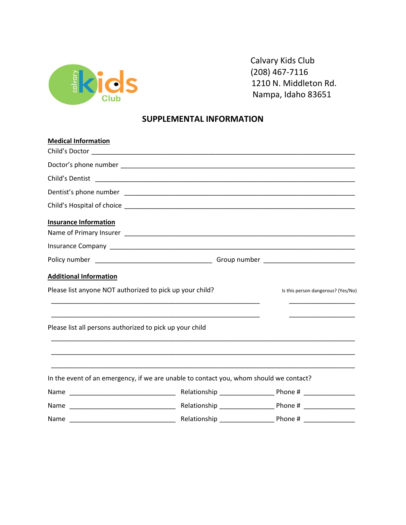

 Calvary Kids Club 1210 N. Middleton Rd. Nampa, Idaho 83651

## **SUPPLEMENTAL INFORMATION**

| <b>Medical Information</b>                                                             |  |                                    |  |
|----------------------------------------------------------------------------------------|--|------------------------------------|--|
|                                                                                        |  |                                    |  |
|                                                                                        |  |                                    |  |
|                                                                                        |  |                                    |  |
|                                                                                        |  |                                    |  |
|                                                                                        |  |                                    |  |
| <b>Insurance Information</b>                                                           |  |                                    |  |
|                                                                                        |  |                                    |  |
|                                                                                        |  |                                    |  |
| <b>Additional Information</b>                                                          |  |                                    |  |
| Please list anyone NOT authorized to pick up your child?                               |  | Is this person dangerous? (Yes/No) |  |
| Please list all persons authorized to pick up your child                               |  |                                    |  |
| In the event of an emergency, if we are unable to contact you, whom should we contact? |  |                                    |  |
|                                                                                        |  |                                    |  |
|                                                                                        |  |                                    |  |
|                                                                                        |  |                                    |  |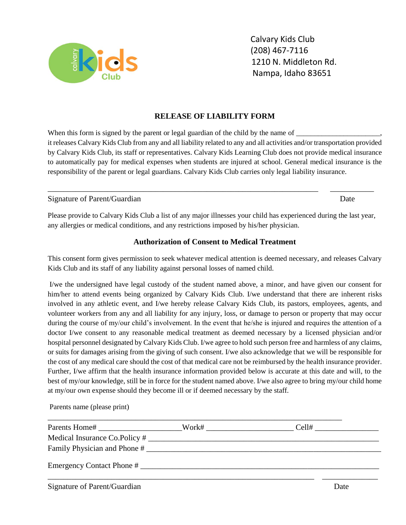

### **RELEASE OF LIABILITY FORM**

When this form is signed by the parent or legal guardian of the child by the name of it releases Calvary Kids Club from any and all liability related to any and all activities and/or transportation provided by Calvary Kids Club, its staff or representatives. Calvary Kids Learning Club does not provide medical insurance to automatically pay for medical expenses when students are injured at school. General medical insurance is the responsibility of the parent or legal guardians. Calvary Kids Club carries only legal liability insurance.

Signature of Parent/Guardian Date by the Second Library of Parent/Guardian Date by the Date by the Date by the Date by the Date by the Date by the Date by the Date by the Date by the Date by the Date by the Date by the Dat

Please provide to Calvary Kids Club a list of any major illnesses your child has experienced during the last year, any allergies or medical conditions, and any restrictions imposed by his/her physician.

\_\_\_\_\_\_\_\_\_\_\_\_\_\_\_\_\_\_\_\_\_\_\_\_\_\_\_\_\_\_\_\_\_\_\_\_\_\_\_\_\_\_\_\_\_\_\_\_\_\_\_\_\_\_\_\_\_\_\_\_\_\_\_\_\_\_\_\_ \_\_\_\_\_\_\_\_\_\_\_

## **Authorization of Consent to Medical Treatment**

This consent form gives permission to seek whatever medical attention is deemed necessary, and releases Calvary Kids Club and its staff of any liability against personal losses of named child.

I/we the undersigned have legal custody of the student named above, a minor, and have given our consent for him/her to attend events being organized by Calvary Kids Club. I/we understand that there are inherent risks involved in any athletic event, and I/we hereby release Calvary Kids Club, its pastors, employees, agents, and volunteer workers from any and all liability for any injury, loss, or damage to person or property that may occur during the course of my/our child's involvement. In the event that he/she is injured and requires the attention of a doctor I/we consent to any reasonable medical treatment as deemed necessary by a licensed physician and/or hospital personnel designated by Calvary Kids Club. I/we agree to hold such person free and harmless of any claims, or suits for damages arising from the giving of such consent. I/we also acknowledge that we will be responsible for the cost of any medical care should the cost of that medical care not be reimbursed by the health insurance provider. Further, I/we affirm that the health insurance information provided below is accurate at this date and will, to the best of my/our knowledge, still be in force for the student named above. I/we also agree to bring my/our child home at my/our own expense should they become ill or if deemed necessary by the staff.

Parents name (please print)

| Medical Insurance Co.Policy # |  |      |
|-------------------------------|--|------|
|                               |  |      |
| Emergency Contact Phone #     |  |      |
| Signature of Parent/Guardian  |  | Date |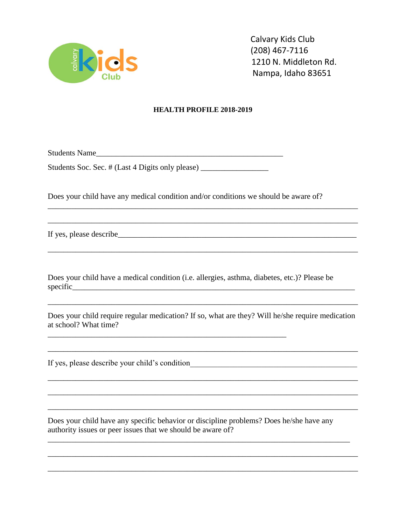

### **HEALTH PROFILE 2018-2019**

Students Name\_\_\_\_\_\_\_\_\_\_\_\_\_\_\_\_\_\_\_\_\_\_\_\_\_\_\_\_\_\_\_\_\_\_\_\_\_\_\_\_\_\_\_\_\_\_\_

| Students Soc. Sec. # (Last 4 Digits only please) |  |  |  |
|--------------------------------------------------|--|--|--|
|--------------------------------------------------|--|--|--|

Does your child have any medical condition and/or conditions we should be aware of?

\_\_\_\_\_\_\_\_\_\_\_\_\_\_\_\_\_\_\_\_\_\_\_\_\_\_\_\_\_\_\_\_\_\_\_\_\_\_\_\_\_\_\_\_\_\_\_\_\_\_\_\_\_\_\_\_\_\_\_\_\_\_\_\_\_\_\_\_\_\_\_\_\_\_\_\_\_\_

\_\_\_\_\_\_\_\_\_\_\_\_\_\_\_\_\_\_\_\_\_\_\_\_\_\_\_\_\_\_\_\_\_\_\_\_\_\_\_\_\_\_\_\_\_\_\_\_\_\_\_\_\_\_\_\_\_\_\_\_\_\_\_\_\_\_\_\_\_\_\_\_\_\_\_\_\_\_

\_\_\_\_\_\_\_\_\_\_\_\_\_\_\_\_\_\_\_\_\_\_\_\_\_\_\_\_\_\_\_\_\_\_\_\_\_\_\_\_\_\_\_\_\_\_\_\_\_\_\_\_\_\_\_\_\_\_\_\_\_\_\_\_\_\_\_\_\_\_\_\_\_\_\_\_\_\_

If yes, please describe

Does your child have a medical condition (i.e. allergies, asthma, diabetes, etc.)? Please be  $specific$ 

 $\overline{\phantom{a}}$  , and the contribution of the contribution of  $\overline{\phantom{a}}$  , and  $\overline{\phantom{a}}$  , and  $\overline{\phantom{a}}$  , and  $\overline{\phantom{a}}$ 

Does your child require regular medication? If so, what are they? Will he/she require medication at school? What time?

\_\_\_\_\_\_\_\_\_\_\_\_\_\_\_\_\_\_\_\_\_\_\_\_\_\_\_\_\_\_\_\_\_\_\_\_\_\_\_\_\_\_\_\_\_\_\_\_\_\_\_\_\_\_\_\_\_\_\_\_\_\_\_\_\_\_\_\_\_\_\_\_\_\_\_\_\_\_

\_\_\_\_\_\_\_\_\_\_\_\_\_\_\_\_\_\_\_\_\_\_\_\_\_\_\_\_\_\_\_\_\_\_\_\_\_\_\_\_\_\_\_\_\_\_\_\_\_\_\_\_\_\_\_\_\_\_\_\_\_\_\_\_\_\_\_\_\_\_\_\_\_\_\_\_\_\_

\_\_\_\_\_\_\_\_\_\_\_\_\_\_\_\_\_\_\_\_\_\_\_\_\_\_\_\_\_\_\_\_\_\_\_\_\_\_\_\_\_\_\_\_\_\_\_\_\_\_\_\_\_\_\_\_\_\_\_\_\_\_\_\_\_\_\_\_\_\_\_\_\_\_\_\_

\_\_\_\_\_\_\_\_\_\_\_\_\_\_\_\_\_\_\_\_\_\_\_\_\_\_\_\_\_\_\_\_\_\_\_\_\_\_\_\_\_\_\_\_\_\_\_\_\_\_\_\_\_\_\_\_\_\_\_\_\_\_\_\_\_\_\_\_\_\_\_\_\_\_\_\_\_\_

\_\_\_\_\_\_\_\_\_\_\_\_\_\_\_\_\_\_\_\_\_\_\_\_\_\_\_\_\_\_\_\_\_\_\_\_\_\_\_\_\_\_\_\_\_\_\_\_\_\_\_\_\_\_\_\_\_\_\_\_\_\_\_\_\_\_\_\_\_\_\_\_\_\_\_\_\_\_

 $\mathcal{L}_\text{max}$  , and the set of the set of the set of the set of the set of the set of the set of the set of the set of the set of the set of the set of the set of the set of the set of the set of the set of the set of the

 $\mathcal{L}_\text{max}$  , and the contribution of the contribution of the contribution of the contribution of the contribution of the contribution of the contribution of the contribution of the contribution of the contribution of t

\_\_\_\_\_\_\_\_\_\_\_\_\_\_\_\_\_\_\_\_\_\_\_\_\_\_\_\_\_\_\_\_\_\_\_\_\_\_\_\_\_\_\_\_\_\_\_\_\_\_\_\_\_\_\_\_\_\_\_\_\_\_\_\_\_\_\_\_\_\_\_\_\_\_\_\_\_\_

If yes, please describe your child's condition\_\_\_\_\_\_\_\_\_\_\_\_\_\_\_\_\_\_\_\_\_\_\_\_\_\_\_\_\_\_\_\_\_\_\_\_\_\_\_\_\_\_

Does your child have any specific behavior or discipline problems? Does he/she have any authority issues or peer issues that we should be aware of?